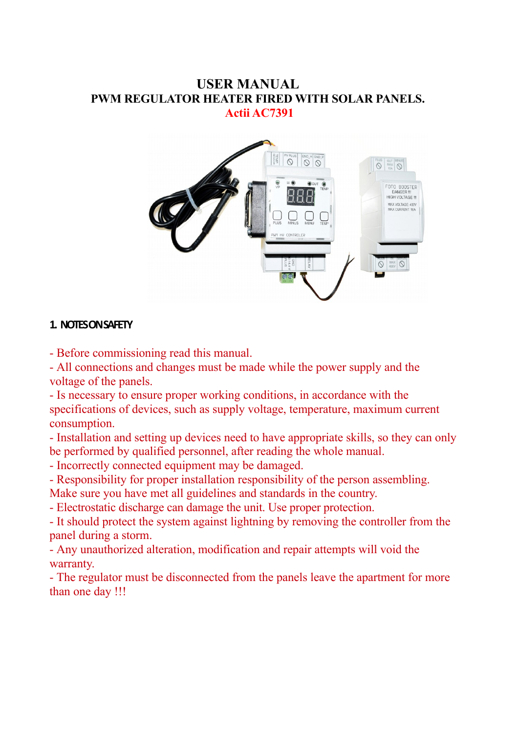#### **USER MANUAL PWM REGULATOR HEATER FIRED WITH SOLAR PANELS. Actii AC7391**



#### **1. NOTES ON SAFETY**

- Before commissioning read this manual.

- All connections and changes must be made while the power supply and the voltage of the panels.

- Is necessary to ensure proper working conditions, in accordance with the specifications of devices, such as supply voltage, temperature, maximum current consumption.

- Installation and setting up devices need to have appropriate skills, so they can only be performed by qualified personnel, after reading the whole manual.

- Incorrectly connected equipment may be damaged.

- Responsibility for proper installation responsibility of the person assembling.

Make sure you have met all guidelines and standards in the country.

- Electrostatic discharge can damage the unit. Use proper protection.

- It should protect the system against lightning by removing the controller from the panel during a storm.

- Any unauthorized alteration, modification and repair attempts will void the warranty.

- The regulator must be disconnected from the panels leave the apartment for more than one day !!!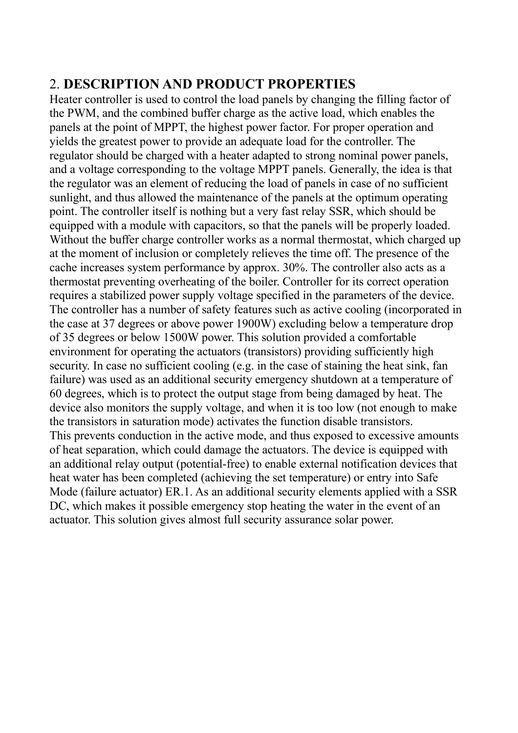### 2. **DESCRIPTION AND PRODUCT PROPERTIES**

Heater controller is used to control the load panels by changing the filling factor of the PWM, and the combined buffer charge as the active load, which enables the panels at the point of MPPT, the highest power factor. For proper operation and yields the greatest power to provide an adequate load for the controller. The regulator should be charged with a heater adapted to strong nominal power panels, and a voltage corresponding to the voltage MPPT panels. Generally, the idea is that the regulator was an element of reducing the load of panels in case of no sufficient sunlight, and thus allowed the maintenance of the panels at the optimum operating point. The controller itself is nothing but a very fast relay SSR, which should be equipped with a module with capacitors, so that the panels will be properly loaded. Without the buffer charge controller works as a normal thermostat, which charged up at the moment of inclusion or completely relieves the time off. The presence of the cache increases system performance by approx. 30%. The controller also acts as a thermostat preventing overheating of the boiler. Controller for its correct operation requires a stabilized power supply voltage specified in the parameters of the device. The controller has a number of safety features such as active cooling (incorporated in the case at 37 degrees or above power 1900W) excluding below a temperature drop of 35 degrees or below 1500W power. This solution provided a comfortable environment for operating the actuators (transistors) providing sufficiently high security. In case no sufficient cooling (e.g. in the case of staining the heat sink, fan failure) was used as an additional security emergency shutdown at a temperature of 60 degrees, which is to protect the output stage from being damaged by heat. The device also monitors the supply voltage, and when it is too low (not enough to make the transistors in saturation mode) activates the function disable transistors. This prevents conduction in the active mode, and thus exposed to excessive amounts of heat separation, which could damage the actuators. The device is equipped with an additional relay output (potential-free) to enable external notification devices that heat water has been completed (achieving the set temperature) or entry into Safe Mode (failure actuator) ER.1. As an additional security elements applied with a SSR DC, which makes it possible emergency stop heating the water in the event of an actuator. This solution gives almost full security assurance solar power.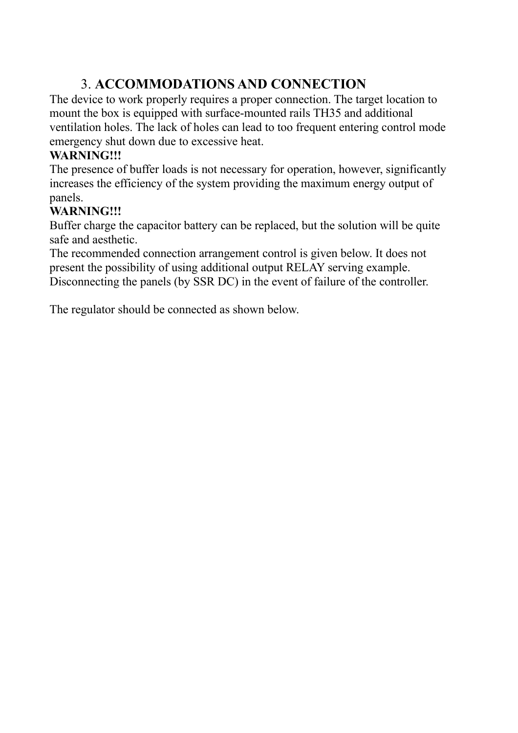# 3. **ACCOMMODATIONS AND CONNECTION**

The device to work properly requires a proper connection. The target location to mount the box is equipped with surface-mounted rails TH35 and additional ventilation holes. The lack of holes can lead to too frequent entering control mode emergency shut down due to excessive heat.

#### **WARNING!!!**

The presence of buffer loads is not necessary for operation, however, significantly increases the efficiency of the system providing the maximum energy output of panels.

### **WARNING!!!**

Buffer charge the capacitor battery can be replaced, but the solution will be quite safe and aesthetic.

The recommended connection arrangement control is given below. It does not present the possibility of using additional output RELAY serving example. Disconnecting the panels (by SSR DC) in the event of failure of the controller.

The regulator should be connected as shown below.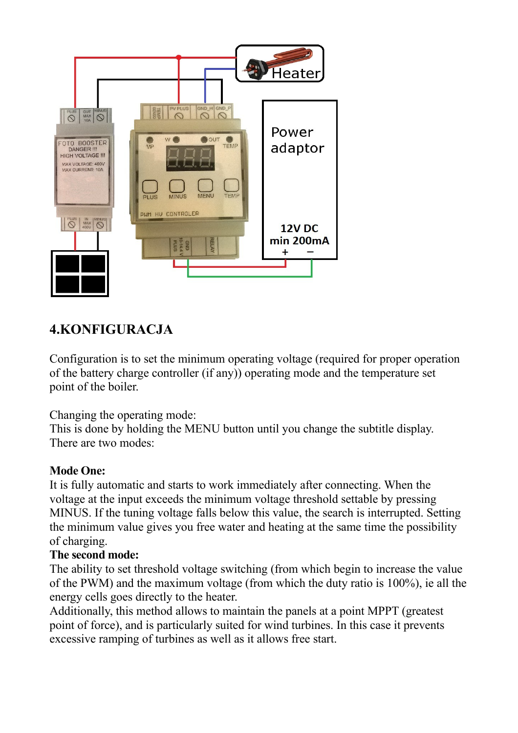

## **4.KONFIGURACJA**

Configuration is to set the minimum operating voltage (required for proper operation of the battery charge controller (if any)) operating mode and the temperature set point of the boiler.

Changing the operating mode:

This is done by holding the MENU button until you change the subtitle display. There are two modes:

### **Mode One:**

It is fully automatic and starts to work immediately after connecting. When the voltage at the input exceeds the minimum voltage threshold settable by pressing MINUS. If the tuning voltage falls below this value, the search is interrupted. Setting the minimum value gives you free water and heating at the same time the possibility of charging.

### **The second mode:**

The ability to set threshold voltage switching (from which begin to increase the value of the PWM) and the maximum voltage (from which the duty ratio is 100%), ie all the energy cells goes directly to the heater.

Additionally, this method allows to maintain the panels at a point MPPT (greatest point of force), and is particularly suited for wind turbines. In this case it prevents excessive ramping of turbines as well as it allows free start.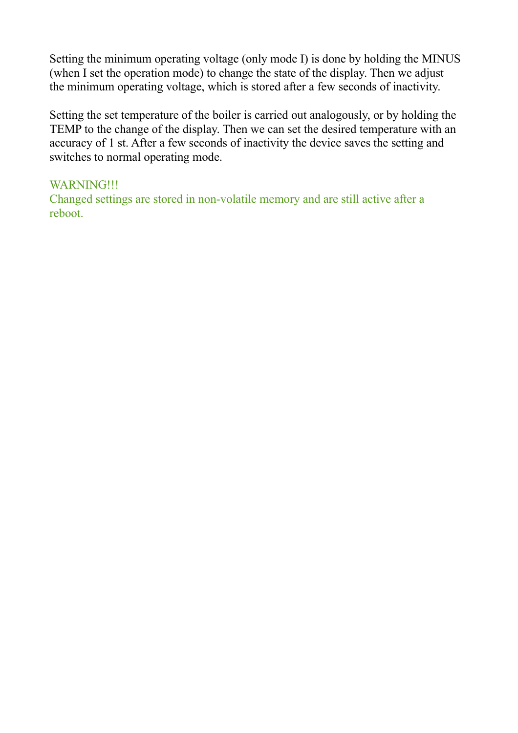Setting the minimum operating voltage (only mode I) is done by holding the MINUS (when I set the operation mode) to change the state of the display. Then we adjust the minimum operating voltage, which is stored after a few seconds of inactivity.

Setting the set temperature of the boiler is carried out analogously, or by holding the TEMP to the change of the display. Then we can set the desired temperature with an accuracy of 1 st. After a few seconds of inactivity the device saves the setting and switches to normal operating mode.

#### WARNING!!!

Changed settings are stored in non-volatile memory and are still active after a reboot.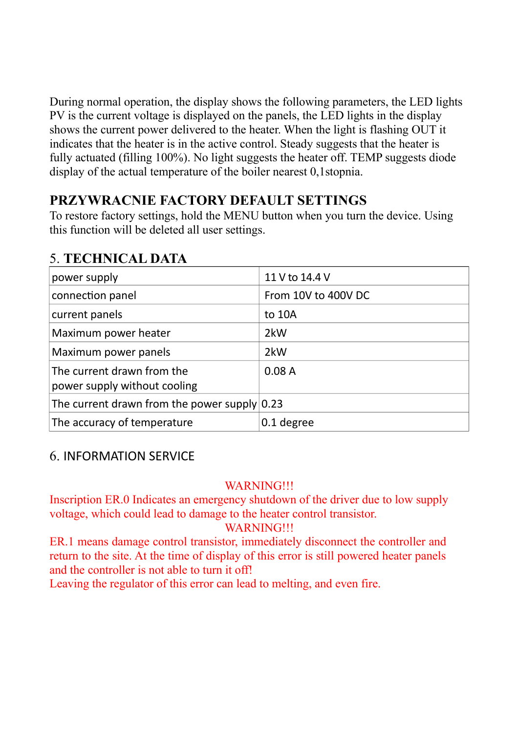During normal operation, the display shows the following parameters, the LED lights PV is the current voltage is displayed on the panels, the LED lights in the display shows the current power delivered to the heater. When the light is flashing OUT it indicates that the heater is in the active control. Steady suggests that the heater is fully actuated (filling 100%). No light suggests the heater off. TEMP suggests diode display of the actual temperature of the boiler nearest 0,1stopnia.

## **PRZYWRACNIE FACTORY DEFAULT SETTINGS**

To restore factory settings, hold the MENU button when you turn the device. Using this function will be deleted all user settings.

# 5. **TECHNICAL DATA**

| power supply                                               | 11 V to 14.4 V      |
|------------------------------------------------------------|---------------------|
| connection panel                                           | From 10V to 400V DC |
| current panels                                             | to 10A              |
| Maximum power heater                                       | 2kW                 |
| Maximum power panels                                       | 2kW                 |
| The current drawn from the<br>power supply without cooling | 0.08A               |
| The current drawn from the power supply $0.23$             |                     |
| The accuracy of temperature                                | 0.1 degree          |

## 6. INFORMATION SERVICE

### WARNING!!!

Inscription ER.0 Indicates an emergency shutdown of the driver due to low supply voltage, which could lead to damage to the heater control transistor.

### WARNING!!!

ER.1 means damage control transistor, immediately disconnect the controller and return to the site. At the time of display of this error is still powered heater panels and the controller is not able to turn it off!

Leaving the regulator of this error can lead to melting, and even fire.